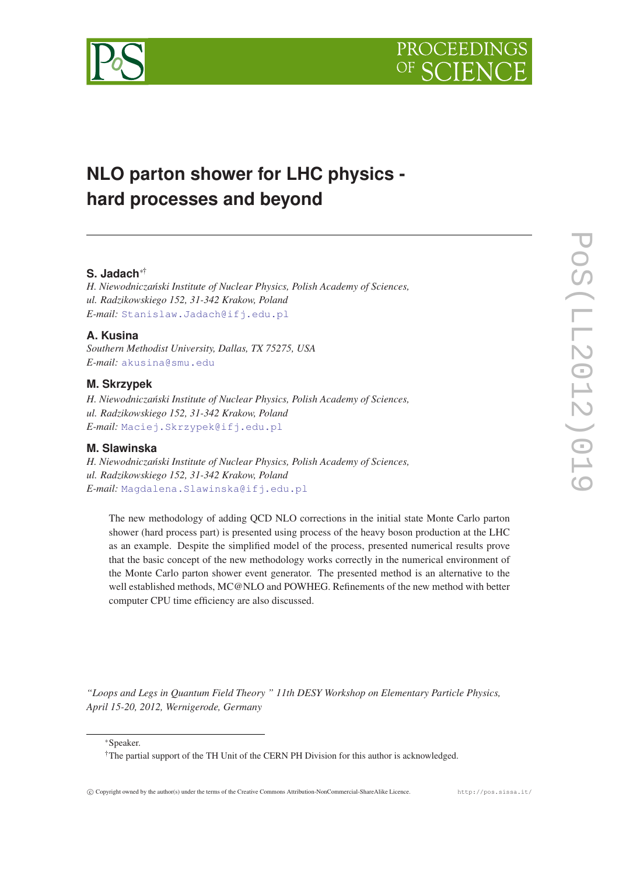

# **NLO parton shower for LHC physics hard processes and beyond**

# **S. Jadach**∗†

*H. Niewodnicza ´nski Institute of Nuclear Physics, Polish Academy of Sciences, ul. Radzikowskiego 152, 31-342 Krakow, Poland E-mail:* [Stanislaw.Jadach@ifj.edu.pl](mailto:Stanislaw.Jadach@ifj.edu.pl)

# **A. Kusina**

*Southern Methodist University, Dallas, TX 75275, USA E-mail:* [akusina@smu.edu](mailto:akusina@smu.edu)

# **M. Skrzypek**

*H. Niewodnicza ´nski Institute of Nuclear Physics, Polish Academy of Sciences, ul. Radzikowskiego 152, 31-342 Krakow, Poland E-mail:* [Maciej.Skrzypek@ifj.edu.pl](mailto:Maciej.Skrzypek@ifj.edu.pl)

# **M. Slawinska**

*H. Niewodnicza ´nski Institute of Nuclear Physics, Polish Academy of Sciences, ul. Radzikowskiego 152, 31-342 Krakow, Poland E-mail:* [Magdalena.Slawinska@ifj.edu.pl](mailto:Magdalena.Slawinska@ifj.edu.pl)

The new methodology of adding QCD NLO corrections in the initial state Monte Carlo parton shower (hard process part) is presented using process of the heavy boson production at the LHC as an example. Despite the simplified model of the process, presented numerical results prove that the basic concept of the new methodology works correctly in the numerical environment of the Monte Carlo parton shower event generator. The presented method is an alternative to the well established methods, MC@NLO and POWHEG. Refinements of the new method with better computer CPU time efficiency are also discussed.

*"Loops and Legs in Quantum Field Theory " 11th DESY Workshop on Elementary Particle Physics, April 15-20, 2012, Wernigerode, Germany*

<sup>∗</sup>Speaker.

<sup>†</sup>The partial support of the TH Unit of the CERN PH Division for this author is acknowledged.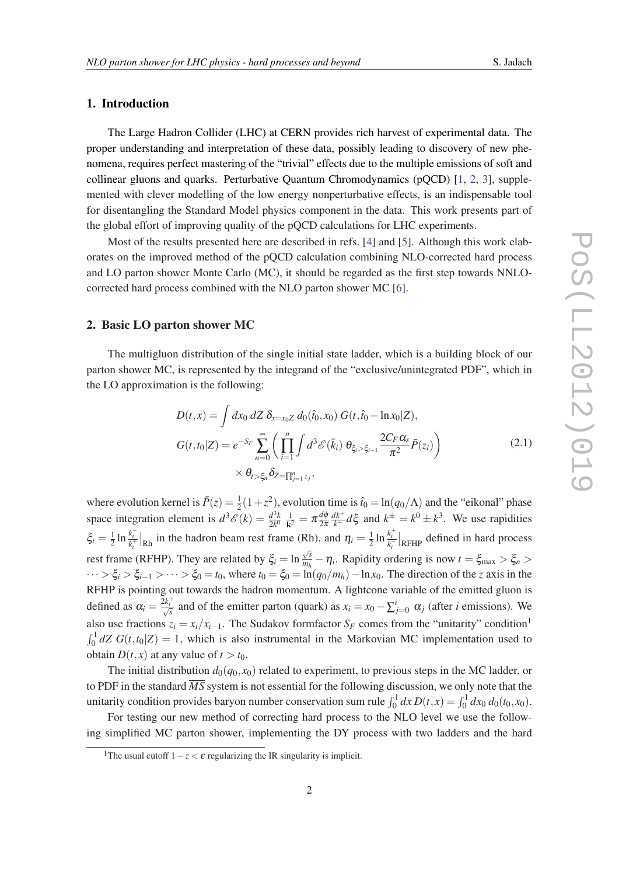# 1. Introduction

The Large Hadron Collider (LHC) at CERN provides rich harvest of experimental data. The proper understanding and interpretation of these data, possibly leading to discovery of new phenomena, requires perfect mastering of the "trivial" effects due to the multiple emissions of soft and collinear gluons and quarks. Perturbative Quantum Chromodynamics (pQCD) [\[1,](#page-8-0) [2,](#page-8-0) [3\]](#page-8-0), supplemented with clever modelling of the low energy nonperturbative effects, is an indispensable tool for disentangling the Standard Model physics component in the data. This work presents part of the global effort of improving quality of the pQCD calculations for LHC experiments.

Most of the results presented here are described in refs. [\[4\]](#page-8-0) and [[5](#page-8-0)]. Although this work elaborates on the improved method of the pQCD calculation combining NLO-corrected hard process and LO parton shower Monte Carlo (MC), it should be regarded as the first step towards NNLOcorrected hard process combined with the NLO parton shower MC [\[6\]](#page-8-0).

# 2. Basic LO parton shower MC

The multigluon distribution of the single initial state ladder, which is a building block of our parton shower MC, is represented by the integrand of the "exclusive/unintegrated PDF", which in the LO approximation is the following:

$$
D(t,x) = \int dx_0 \, dZ \, \delta_{x=x_0Z} \, d_0(\hat{t}_0, x_0) \, G(t, \hat{t}_0 - \ln x_0 | Z),
$$
  

$$
G(t,t_0 | Z) = e^{-S_F} \sum_{n=0}^{\infty} \left( \prod_{i=1}^{n} \int d^3 \mathcal{E}(\bar{k}_i) \, \theta_{\xi_i > \xi_{i-1}} \frac{2C_F \alpha_s}{\pi^2} \bar{P}(z_i) \right)
$$
  

$$
\times \theta_{t > \xi_n} \delta_{Z = \prod_{j=1}^{n} z_j},
$$
 (2.1)

where evolution kernel is  $\bar{P}(z) = \frac{1}{2}(1+z^2)$ , evolution time is  $\hat{t}_0 = \ln(q_0/\Lambda)$  and the "eikonal" phase 2 space integration element is  $d^3 \mathscr{E}(k) = \frac{d^3 k}{2k^0}$  $\frac{d^3k}{2k^0} \frac{1}{\mathbf{k}^2}$  $\frac{1}{\mathbf{k}^2} = \pi \frac{d\phi}{2\pi}$ 2π  $\frac{dk^+}{k^+}d\xi$  and  $k^{\pm} = k^0 \pm k^3$ . We use rapidities  $\xi_i = \frac{1}{2}$  $\frac{1}{2} \ln \frac{k_i^-}{k_i^+} \big|_{\text{Rh}}$  in the hadron beam rest frame (Rh), and  $\eta_i = \frac{1}{2}$ Rh), and  $\eta_i = \frac{1}{2} \ln \frac{k_i^+}{k_i^-} \big|_{\text{RFHP}}$  defined in hard process rest frame (RFHP). They are related by  $\xi_i = \ln \frac{\sqrt{s}}{m_i}$  $\frac{\sqrt{s}}{m_h} - \eta_i$ . Rapidity ordering is now  $t = \xi_{\text{max}} > \xi_n >$  $\cdots > \xi_i > \xi_{i-1} > \cdots > \xi_0 = t_0$ , where  $t_0 = \xi_0 = \ln(q_0/m_h) - \ln x_0$ . The direction of the *z* axis in the RFHP is pointing out towards the hadron momentum. A lightcone variable of the emitted gluon is defined as  $\alpha_i = \frac{\bar{\lambda} k_i^+}{\sqrt{s}}$  and of the emitter parton (quark) as  $x_i = x_0 - \sum_{j=0}^i \alpha_j$  (after *i* emissions). We also use fractions  $z_i = x_i/x_{i-1}$ . The Sudakov formfactor  $S_F$  comes from the "unitarity" condition<sup>1</sup>  $\int_0^1 dZ G(t,t_0|Z) = 1$ , which is also instrumental in the Markovian MC implementation used to obtain  $D(t, x)$  at any value of  $t > t_0$ .

The initial distribution  $d_0(q_0, x_0)$  related to experiment, to previous steps in the MC ladder, or to PDF in the standard  $\overline{MS}$  system is not essential for the following discussion, we only note that the unitarity condition provides baryon number conservation sum rule  $\int_0^1 dx D(t, x) = \int_0^1 dx_0 d_0(t_0, x_0)$ .

For testing our new method of correcting hard process to the NLO level we use the following simplified MC parton shower, implementing the DY process with two ladders and the hard

<sup>&</sup>lt;sup>1</sup>The usual cutoff  $1-z < \varepsilon$  regularizing the IR singularity is implicit.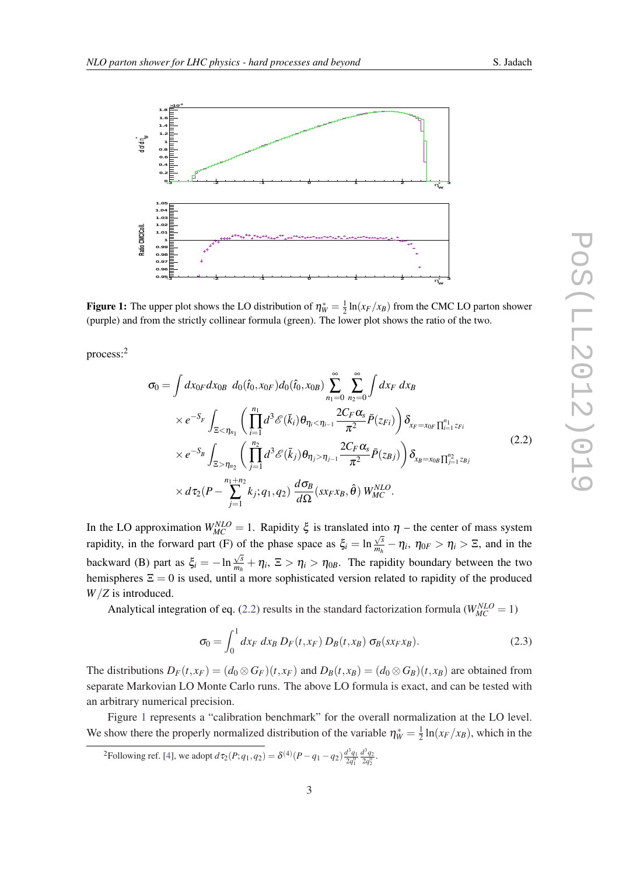

<span id="page-2-0"></span>

**Figure 1:** The upper plot shows the LO distribution of  $\eta_W^* = \frac{1}{2} \ln(x_F/x_B)$  from the CMC LO parton shower (purple) and from the strictly collinear formula (green). The lower plot shows the ratio of the two.

process:<sup>2</sup>

$$
\sigma_{0} = \int dx_{0F} dx_{0B} d_{0}(\hat{t}_{0}, x_{0F}) d_{0}(\hat{t}_{0}, x_{0B}) \sum_{n_{1}=0}^{\infty} \sum_{n_{2}=0}^{\infty} \int dx_{F} dx_{B}
$$
\n
$$
\times e^{-S_{F}} \int_{\Xi < \eta_{n_{1}}} \left( \prod_{i=1}^{n_{1}} d^{3} \mathcal{E}(\bar{k}_{i}) \theta_{\eta_{i} < \eta_{i-1}} \frac{2C_{F} \alpha_{s}}{\pi^{2}} \bar{P}(z_{Fi}) \right) \delta_{x_{F} = x_{0F}} \prod_{i=1}^{n_{1}} z_{Fi}
$$
\n
$$
\times e^{-S_{B}} \int_{\Xi > \eta_{n_{2}}} \left( \prod_{j=1}^{n_{2}} d^{3} \mathcal{E}(\bar{k}_{j}) \theta_{\eta_{j} > \eta_{j-1}} \frac{2C_{F} \alpha_{s}}{\pi^{2}} \bar{P}(z_{Bj}) \right) \delta_{x_{B} = x_{0B}} \prod_{j=1}^{n_{2}} z_{Bj}
$$
\n
$$
\times d\tau_{2} (P - \sum_{j=1}^{n_{1}+n_{2}} k_{j}; q_{1}, q_{2}) \frac{d\sigma_{B}}{d\Omega} (s x_{F} x_{B}, \hat{\theta}) W_{MC}^{NLO}.
$$
\n(2.2)

In the LO approximation  $W_{MC}^{NLO} = 1$ . Rapidity  $\xi$  is translated into  $\eta$  – the center of mass system rapidity, in the forward part (F) of the phase space as  $\xi_i = \ln \frac{\sqrt{s}}{m_i}$ of the phase space as  $\xi_i = \ln \frac{\sqrt{s}}{m_h} - \eta_i$ ,  $\eta_{0F} > \eta_i > \Xi$ , and in the backward (B) part as  $\xi_i = -\ln \frac{\sqrt{s}}{m_i}$  $\frac{\sqrt{s}}{m_h} + \eta_i$ ,  $\Xi > \eta_i > \eta_{0B}$ . The rapidity boundary between the two hemispheres  $\Xi = 0$  is used, until a more sophisticated version related to rapidity of the produced *W*/*Z* is introduced.

Analytical integration of eq. (2.2) results in the standard factorization formula ( $W_{MC}^{NLO} = 1$ )

$$
\sigma_0 = \int_0^1 dx_F dx_B D_F(t, x_F) D_B(t, x_B) \sigma_B(s x_F x_B).
$$
\n(2.3)

The distributions  $D_F(t, x_F) = (d_0 \otimes G_F)(t, x_F)$  and  $D_B(t, x_B) = (d_0 \otimes G_B)(t, x_B)$  are obtained from separate Markovian LO Monte Carlo runs. The above LO formula is exact, and can be tested with an arbitrary numerical precision.

Figure 1 represents a "calibration benchmark" for the overall normalization at the LO level. We show there the properly normalized distribution of the variable  $\eta_W^* = \frac{1}{2}$  $\frac{1}{2} \ln(x_F/x_B)$ , which in the

2 Following ref. [[4](#page-8-0)], we adopt  $d\tau_2(P; q_1, q_2) = \delta^{(4)}(P - q_1 - q_2) \frac{d^3 q_1}{2q_1^0}$  $rac{d^3q_2}{2q_2^0}$ .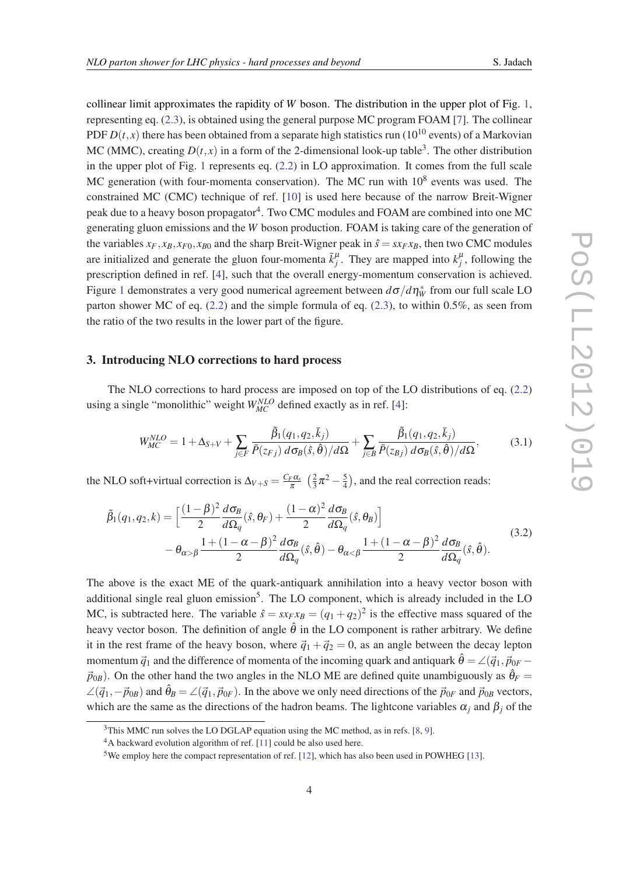<span id="page-3-0"></span>collinear limit approximates the rapidity of *W* boson. The distribution in the upper plot of Fig. [1](#page-2-0), representing eq. ([2.3](#page-2-0)), is obtained using the general purpose MC program FOAM [\[7\]](#page-8-0). The collinear PDF  $D(t, x)$  there has been obtained from a separate high statistics run (10<sup>10</sup> events) of a Markovian MC (MMC), creating  $D(t, x)$  in a form of the 2-dimensional look-up table<sup>3</sup>. The other distribution in the upper plot of Fig. [1](#page-2-0) represents eq. ([2.2](#page-2-0)) in LO approximation. It comes from the full scale MC generation (with four-momenta conservation). The MC run with  $10^8$  events was used. The constrained MC (CMC) technique of ref. [\[10](#page-9-0)] is used here because of the narrow Breit-Wigner peak due to a heavy boson propagator<sup>4</sup>. Two CMC modules and FOAM are combined into one MC generating gluon emissions and the *W* boson production. FOAM is taking care of the generation of the variables  $x_F$ ,  $x_B$ ,  $x_{F0}$ ,  $x_{B0}$  and the sharp Breit-Wigner peak in  $\hat{s} = s x_F x_B$ , then two CMC modules are initialized and generate the gluon four-momenta  $\bar{k}^{\mu}_j$ . They are mapped into  $k^{\mu}_j$ , following the prescription defined in ref. [[4](#page-8-0)], such that the overall energy-momentum conservation is achieved. Figure [1](#page-2-0) demonstrates a very good numerical agreement between  $d\sigma/d\eta_{\rm W}^*$  from our full scale LO parton shower MC of eq. ([2.2](#page-2-0)) and the simple formula of eq. [\(2.3](#page-2-0)), to within 0.5%, as seen from the ratio of the two results in the lower part of the figure.

### 3. Introducing NLO corrections to hard process

The NLO corrections to hard process are imposed on top of the LO distributions of eq. ([2.2](#page-2-0)) using a single "monolithic" weight  $W_{MC}^{NLO}$  defined exactly as in ref. [\[4\]](#page-8-0):

$$
W_{MC}^{NLO} = 1 + \Delta_{S+V} + \sum_{j \in F} \frac{\tilde{\beta}_1(q_1, q_2, \bar{k}_j)}{\bar{P}(z_{Fj}) d\sigma_B(\hat{s}, \hat{\theta})/d\Omega} + \sum_{j \in B} \frac{\tilde{\beta}_1(q_1, q_2, \bar{k}_j)}{\bar{P}(z_{Bj}) d\sigma_B(\hat{s}, \hat{\theta})/d\Omega},
$$
(3.1)

the NLO soft+virtual correction is  $\Delta V + S = \frac{C_F \alpha_s}{\pi}$  $rac{F\alpha_s}{\pi}$   $\left(\frac{2}{3}\right)$  $rac{2}{3}\pi^2-\frac{5}{4}$  $\frac{5}{4}$ ), and the real correction reads:

$$
\tilde{\beta}_{1}(q_{1},q_{2},k) = \left[\frac{(1-\beta)^{2}}{2}\frac{d\sigma_{B}}{d\Omega_{q}}(\hat{s},\theta_{F}) + \frac{(1-\alpha)^{2}}{2}\frac{d\sigma_{B}}{d\Omega_{q}}(\hat{s},\theta_{B})\right] \n- \theta_{\alpha>\beta}\frac{1 + (1-\alpha-\beta)^{2}}{2}\frac{d\sigma_{B}}{d\Omega_{q}}(\hat{s},\hat{\theta}) - \theta_{\alpha<\beta}\frac{1 + (1-\alpha-\beta)^{2}}{2}\frac{d\sigma_{B}}{d\Omega_{q}}(\hat{s},\hat{\theta}).
$$
\n(3.2)

The above is the exact ME of the quark-antiquark annihilation into a heavy vector boson with additional single real gluon emission<sup>5</sup>. The LO component, which is already included in the LO MC, is subtracted here. The variable  $\hat{s} = s x_F x_B = (q_1 + q_2)^2$  is the effective mass squared of the heavy vector boson. The definition of angle  $\hat{\theta}$  in the LO component is rather arbitrary. We define it in the rest frame of the heavy boson, where  $\vec{q}_1 + \vec{q}_2 = 0$ , as an angle between the decay lepton momentum  $\vec{q}_1$  and the difference of momenta of the incoming quark and antiquark  $\hat{\theta} = \angle(\vec{q}_1, \vec{p}_{0F} - \vec{q}_2)$  $\vec{p}_{0B}$ ). On the other hand the two angles in the NLO ME are defined quite unambiguously as  $\hat{\theta}_F =$  $\angle(\vec{q}_1,-\vec{p}_{0B})$  and  $\hat{\theta}_B = \angle(\vec{q}_1,\vec{p}_{0F})$ . In the above we only need directions of the  $\vec{p}_{0F}$  and  $\vec{p}_{0B}$  vectors, which are the same as the directions of the hadron beams. The lightcone variables  $\alpha_j$  and  $\beta_j$  of the

<sup>&</sup>lt;sup>3</sup>This MMC run solves the LO DGLAP equation using the MC method, as in refs. [[8](#page-8-0), [9](#page-8-0)].

<sup>&</sup>lt;sup>4</sup>A backward evolution algorithm of ref. [\[11](#page-9-0)] could be also used here.

<sup>5</sup>We employ here the compact representation of ref. [\[12](#page-9-0)], which has also been used in POWHEG [\[13](#page-9-0)].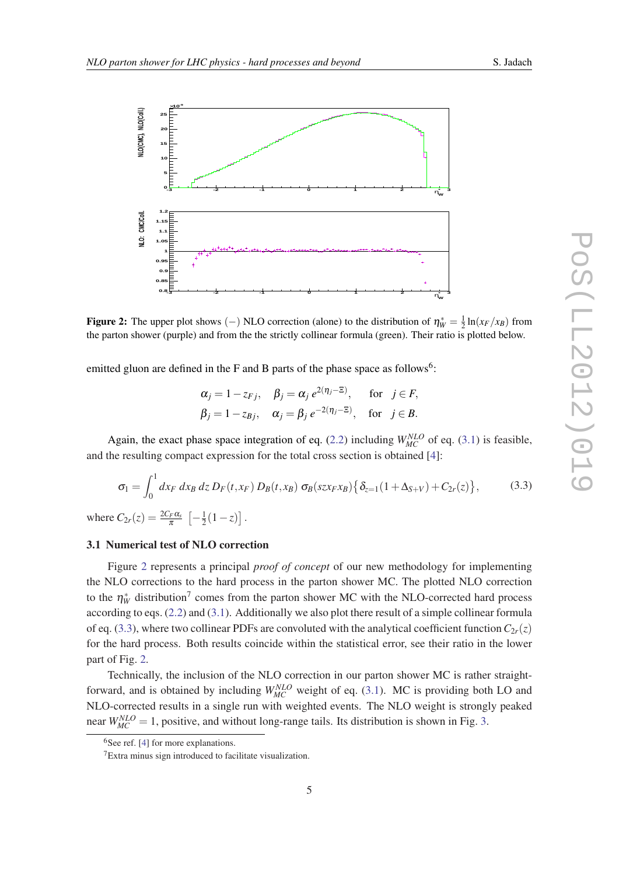<span id="page-4-0"></span>

**Figure 2:** The upper plot shows (–) NLO correction (alone) to the distribution of  $\eta_W^* = \frac{1}{2} \ln(x_F/x_B)$  from the parton shower (purple) and from the the strictly collinear formula (green). Their ratio is plotted below.

emitted gluon are defined in the F and B parts of the phase space as follows<sup>6</sup>:

$$
\alpha_j = 1 - z_{Fj}, \quad \beta_j = \alpha_j e^{2(\eta_j - \Xi)}, \quad \text{for} \quad j \in F,
$$
  
\n $\beta_j = 1 - z_{Bj}, \quad \alpha_j = \beta_j e^{-2(\eta_j - \Xi)}, \quad \text{for} \quad j \in B.$ 

Again, the exact phase space integration of eq. [\(2.2\)](#page-2-0) including  $W_{MC}^{NLO}$  of eq. [\(3.1\)](#page-3-0) is feasible, and the resulting compact expression for the total cross section is obtained [\[4](#page-8-0)]:

$$
\sigma_1 = \int_0^1 dx_F \, dx_B \, dz \, D_F(t, x_F) \, D_B(t, x_B) \, \sigma_B(sz x_F x_B) \left\{ \delta_{z=1} (1 + \Delta_{S+V}) + C_{2r}(z) \right\},\tag{3.3}
$$

where  $C_{2r}(z) = \frac{2C_F\alpha_s}{\pi} \left[ -\frac{1}{2} \right]$  $\frac{1}{2}(1-z)$ .

# 3.1 Numerical test of NLO correction

Figure 2 represents a principal *proof of concept* of our new methodology for implementing the NLO corrections to the hard process in the parton shower MC. The plotted NLO correction to the  $\eta_W^*$  distribution<sup>7</sup> comes from the parton shower MC with the NLO-corrected hard process according to eqs. [\(2.2\)](#page-2-0) and [\(3.1\)](#page-3-0). Additionally we also plot there result of a simple collinear formula of eq. (3.3), where two collinear PDFs are convoluted with the analytical coefficient function  $C_{2r}(z)$ for the hard process. Both results coincide within the statistical error, see their ratio in the lower part of Fig. 2.

Technically, the inclusion of the NLO correction in our parton shower MC is rather straightforward, and is obtained by including  $W_{MC}^{NLO}$  weight of eq. ([3.1](#page-3-0)). MC is providing both LO and NLO-corrected results in a single run with weighted events. The NLO weight is strongly peaked near  $W_{MC}^{NLO} = 1$ , positive, and without long-range tails. Its distribution is shown in Fig. [3.](#page-5-0)

 $6$ See ref. [\[4\]](#page-8-0) for more explanations.

<sup>7</sup>Extra minus sign introduced to facilitate visualization.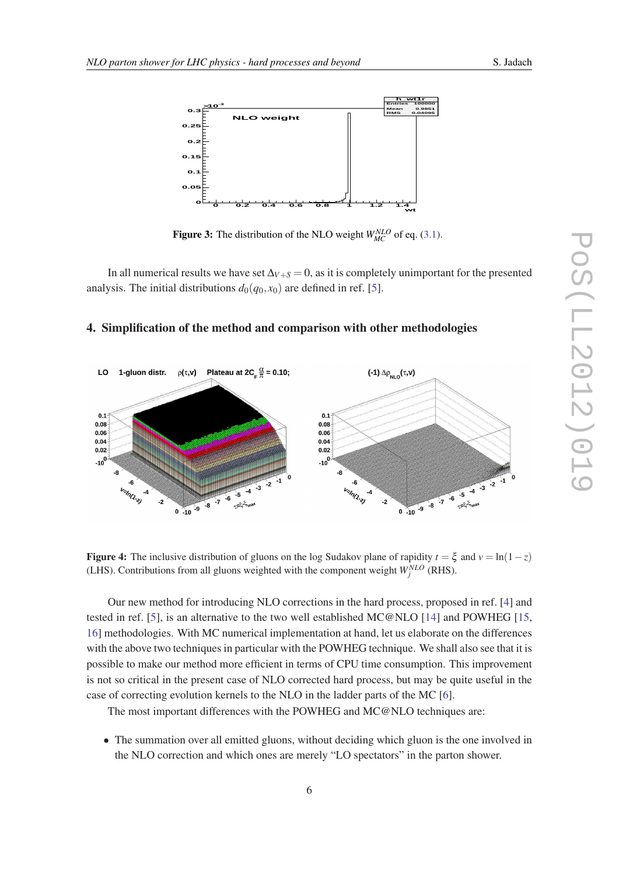<span id="page-5-0"></span>

**Figure 3:** The distribution of the NLO weight  $W_{MC}^{NLO}$  of eq. ([3.1](#page-3-0)).

In all numerical results we have set  $\Delta$ *V*+*S* = 0, as it is completely unimportant for the presented analysis. The initial distributions  $d_0(q_0, x_0)$  are defined in ref. [\[5\]](#page-8-0).

### 4. Simplification of the method and comparison with other methodologies



**Figure 4:** The inclusive distribution of gluons on the log Sudakov plane of rapidity  $t = \xi$  and  $v = \ln(1 - z)$ (LHS). Contributions from all gluons weighted with the component weight  $W_j^{NLO}$  (RHS).

Our new method for introducing NLO corrections in the hard process, proposed in ref. [[4\]](#page-8-0) and tested in ref. [[5](#page-8-0)], is an alternative to the two well established MC@NLO [[14\]](#page-9-0) and POWHEG [\[15](#page-9-0), [16](#page-9-0)] methodologies. With MC numerical implementation at hand, let us elaborate on the differences with the above two techniques in particular with the POWHEG technique. We shall also see that it is possible to make our method more efficient in terms of CPU time consumption. This improvement is not so critical in the present case of NLO corrected hard process, but may be quite useful in the case of correcting evolution kernels to the NLO in the ladder parts of the MC [\[6](#page-8-0)].

The most important differences with the POWHEG and MC@NLO techniques are:

• The summation over all emitted gluons, without deciding which gluon is the one involved in the NLO correction and which ones are merely "LO spectators" in the parton shower.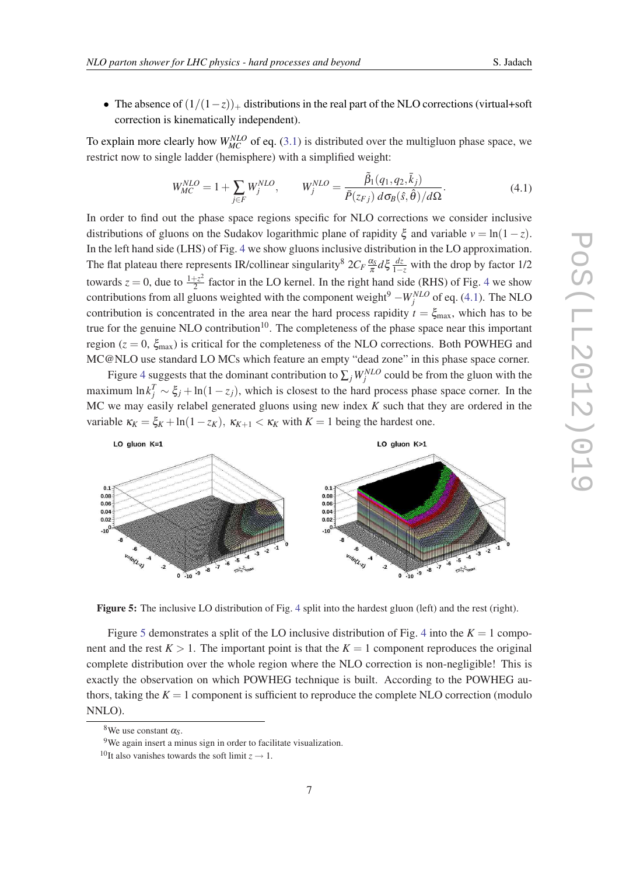• The absence of  $(1/(1-z))_+$  distributions in the real part of the NLO corrections (virtual+soft correction is kinematically independent).

To explain more clearly how  $W_{MC}^{NLO}$  of eq. ([3.1](#page-3-0)) is distributed over the multigluon phase space, we restrict now to single ladder (hemisphere) with a simplified weight:

$$
W_{MC}^{NLO} = 1 + \sum_{j \in F} W_j^{NLO}, \qquad W_j^{NLO} = \frac{\tilde{\beta}_1(q_1, q_2, \bar{k}_j)}{\bar{P}(z_{Fj}) d\sigma_B(\hat{s}, \hat{\theta})/d\Omega}.
$$
(4.1)

In order to find out the phase space regions specific for NLO corrections we consider inclusive distributions of gluons on the Sudakov logarithmic plane of rapidity  $\xi$  and variable  $v = \ln(1-z)$ . In the left hand side (LHS) of Fig. [4](#page-5-0) we show gluons inclusive distribution in the LO approximation. The flat plateau there represents IR/collinear singularity<sup>8</sup>  $2C_F \frac{\alpha_s}{\pi}$  $\frac{\alpha_s}{\pi} d \xi \frac{dz}{1-z}$  with the drop by factor 1/2 towards  $z = 0$ , due to  $\frac{1+z^2}{2}$  $\frac{f}{2}$  factor in the LO kernel. In the right hand side (RHS) of Fig. [4](#page-5-0) we show contributions from all gluons weighted with the component weight<sup>9</sup> −*W<sub>j</sub><sup>NLO</sup>* of eq. (4.1). The NLO contribution is concentrated in the area near the hard process rapidity  $t = \xi_{\text{max}}$ , which has to be true for the genuine NLO contribution<sup>10</sup>. The completeness of the phase space near this important region ( $z = 0$ ,  $\xi_{\text{max}}$ ) is critical for the completeness of the NLO corrections. Both POWHEG and MC@NLO use standard LO MCs which feature an empty "dead zone" in this phase space corner.

Figure [4](#page-5-0) suggests that the dominant contribution to  $\sum_j W_j^{NLO}$  could be from the gluon with the maximum  $\ln k_j^T \sim \xi_j + \ln(1 - z_j)$ , which is closest to the hard process phase space corner. In the MC we may easily relabel generated gluons using new index *K* such that they are ordered in the variable  $\kappa_K = \xi_K + \ln(1 - z_K)$ ,  $\kappa_{K+1} < \kappa_K$  with  $K = 1$  being the hardest one.



Figure 5: The inclusive LO distribution of Fig. [4](#page-5-0) split into the hardest gluon (left) and the rest (right).

Figure 5 demonstrates a split of the LO inclusive distribution of Fig. [4](#page-5-0) into the  $K = 1$  component and the rest  $K > 1$ . The important point is that the  $K = 1$  component reproduces the original complete distribution over the whole region where the NLO correction is non-negligible! This is exactly the observation on which POWHEG technique is built. According to the POWHEG authors, taking the  $K = 1$  component is sufficient to reproduce the complete NLO correction (modulo NNLO).

<sup>&</sup>lt;sup>8</sup>We use constant  $\alpha_s$ .

<sup>&</sup>lt;sup>9</sup>We again insert a minus sign in order to facilitate visualization.

<sup>&</sup>lt;sup>10</sup>It also vanishes towards the soft limit  $z \rightarrow 1$ .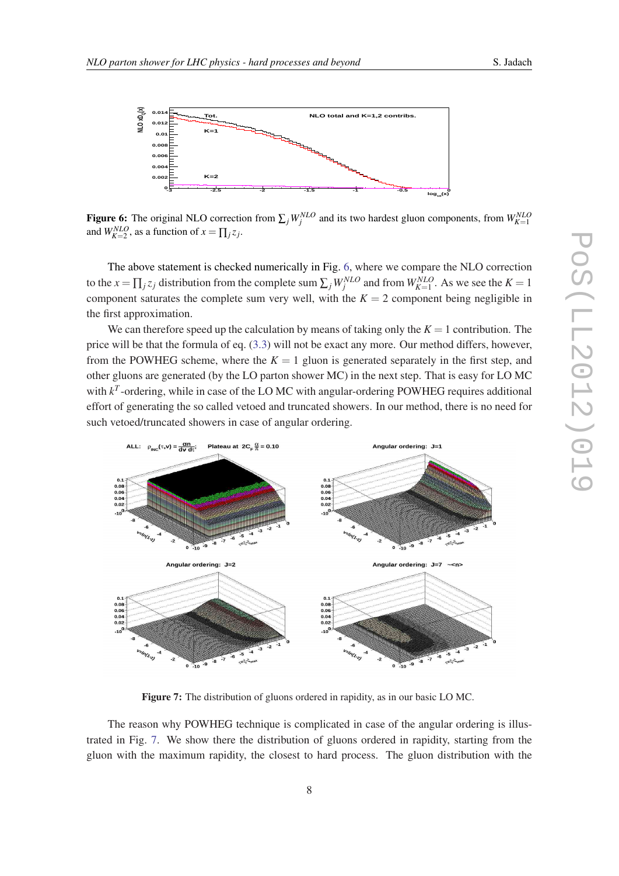

Figure 6: The original NLO correction from  $\sum_j W_j^{NLO}$  and its two hardest gluon components, from  $W_{K=1}^{NLO}$ and  $W_{K=2}^{NLO}$ , as a function of  $x = \prod_j z_j$ .

The above statement is checked numerically in Fig. 6, where we compare the NLO correction to the  $x = \prod_j z_j$  distribution from the complete sum  $\sum_j W_j^{NLO}$  and from  $W_{K=1}^{NLO}$ . As we see the  $K=1$ component saturates the complete sum very well, with the  $K = 2$  component being negligible in the first approximation.

We can therefore speed up the calculation by means of taking only the  $K = 1$  contribution. The price will be that the formula of eq. [\(3.3\)](#page-4-0) will not be exact any more. Our method differs, however, from the POWHEG scheme, where the  $K = 1$  gluon is generated separately in the first step, and other gluons are generated (by the LO parton shower MC) in the next step. That is easy for LO MC with  $k^T$ -ordering, while in case of the LO MC with angular-ordering POWHEG requires additional effort of generating the so called vetoed and truncated showers. In our method, there is no need for such vetoed/truncated showers in case of angular ordering.



Figure 7: The distribution of gluons ordered in rapidity, as in our basic LO MC.

The reason why POWHEG technique is complicated in case of the angular ordering is illustrated in Fig. 7. We show there the distribution of gluons ordered in rapidity, starting from the gluon with the maximum rapidity, the closest to hard process. The gluon distribution with the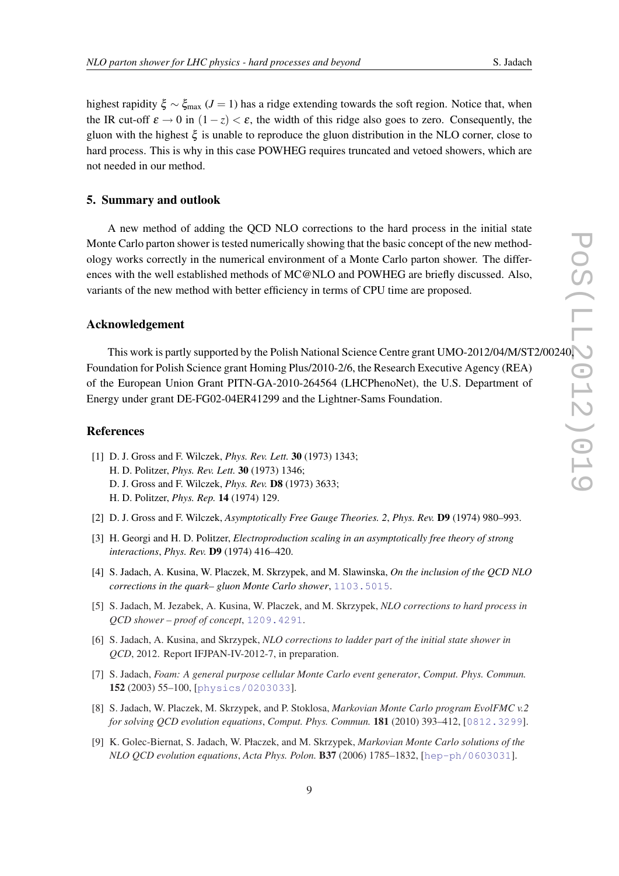<span id="page-8-0"></span>highest rapidity  $\xi \sim \xi_{\text{max}}$  (*J* = 1) has a ridge extending towards the soft region. Notice that, when the IR cut-off  $\varepsilon \to 0$  in  $(1 - z) < \varepsilon$ , the width of this ridge also goes to zero. Consequently, the gluon with the highest  $\xi$  is unable to reproduce the gluon distribution in the NLO corner, close to hard process. This is why in this case POWHEG requires truncated and vetoed showers, which are not needed in our method.

### 5. Summary and outlook

A new method of adding the QCD NLO corrections to the hard process in the initial state Monte Carlo parton shower is tested numerically showing that the basic concept of the new methodology works correctly in the numerical environment of a Monte Carlo parton shower. The differences with the well established methods of MC@NLO and POWHEG are briefly discussed. Also, variants of the new method with better efficiency in terms of CPU time are proposed.

# Acknowledgement

This work is partly supported by the Polish National Science Centre grant UMO-2012/04/M/ST2/00240, Foundation for Polish Science grant Homing Plus/2010-2/6, the Research Executive Agency (REA) of the European Union Grant PITN-GA-2010-264564 (LHCPhenoNet), the U.S. Department of Energy under grant DE-FG02-04ER41299 and the Lightner-Sams Foundation.

### **References**

- [1] D. J. Gross and F. Wilczek, *Phys. Rev. Lett.* 30 (1973) 1343; H. D. Politzer, *Phys. Rev. Lett.* 30 (1973) 1346; D. J. Gross and F. Wilczek, *Phys. Rev.* D8 (1973) 3633; H. D. Politzer, *Phys. Rep.* 14 (1974) 129.
- [2] D. J. Gross and F. Wilczek, *Asymptotically Free Gauge Theories. 2*, *Phys. Rev.* D9 (1974) 980–993.
- [3] H. Georgi and H. D. Politzer, *Electroproduction scaling in an asymptotically free theory of strong interactions*, *Phys. Rev.* D9 (1974) 416–420.
- [4] S. Jadach, A. Kusina, W. Placzek, M. Skrzypek, and M. Slawinska, *On the inclusion of the QCD NLO corrections in the quark– gluon Monte Carlo shower*, [1103.5015](http://xxx.lanl.gov/abs/1103.5015).
- [5] S. Jadach, M. Jezabek, A. Kusina, W. Placzek, and M. Skrzypek, *NLO corrections to hard process in QCD shower – proof of concept*, [1209.4291](http://xxx.lanl.gov/abs/1209.4291).
- [6] S. Jadach, A. Kusina, and Skrzypek, *NLO corrections to ladder part of the initial state shower in QCD*, 2012. Report IFJPAN-IV-2012-7, in preparation.
- [7] S. Jadach, *Foam: A general purpose cellular Monte Carlo event generator*, *Comput. Phys. Commun.* 152 (2003) 55–100, [[physics/0203033](http://xxx.lanl.gov/abs/physics/0203033)].
- [8] S. Jadach, W. Placzek, M. Skrzypek, and P. Stoklosa, *Markovian Monte Carlo program EvolFMC v.2 for solving QCD evolution equations*, *Comput. Phys. Commun.* 181 (2010) 393–412, [[0812.3299](http://xxx.lanl.gov/abs/0812.3299)].
- [9] K. Golec-Biernat, S. Jadach, W. Płaczek, and M. Skrzypek, *Markovian Monte Carlo solutions of the NLO QCD evolution equations*, *Acta Phys. Polon.* B37 (2006) 1785–1832, [[hep-ph/0603031](http://xxx.lanl.gov/abs/hep-ph/0603031)].